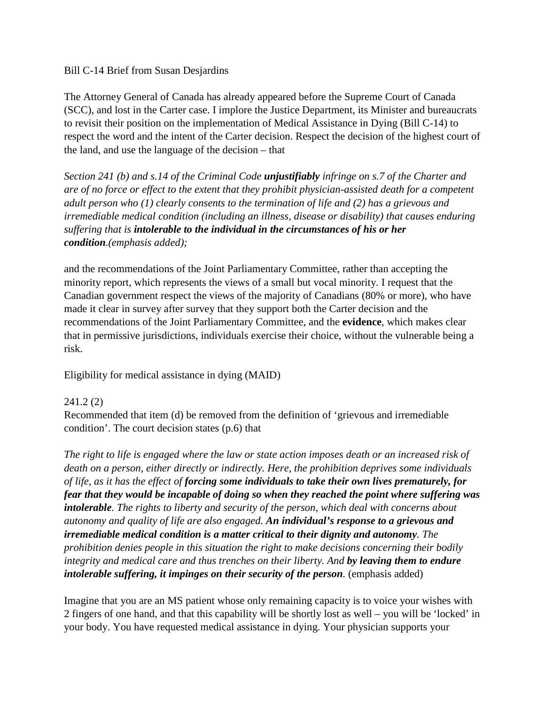## Bill C-14 Brief from Susan Desjardins

The Attorney General of Canada has already appeared before the Supreme Court of Canada (SCC), and lost in the Carter case. I implore the Justice Department, its Minister and bureaucrats to revisit their position on the implementation of Medical Assistance in Dying (Bill C-14) to respect the word and the intent of the Carter decision. Respect the decision of the highest court of the land, and use the language of the decision – that

*Section 241 (b) and s.14 of the Criminal Code unjustifiably infringe on s.7 of the Charter and are of no force or effect to the extent that they prohibit physician-assisted death for a competent adult person who (1) clearly consents to the termination of life and (2) has a grievous and irremediable medical condition (including an illness, disease or disability) that causes enduring suffering that is intolerable to the individual in the circumstances of his or her condition.(emphasis added);* 

and the recommendations of the Joint Parliamentary Committee, rather than accepting the minority report, which represents the views of a small but vocal minority. I request that the Canadian government respect the views of the majority of Canadians (80% or more), who have made it clear in survey after survey that they support both the Carter decision and the recommendations of the Joint Parliamentary Committee, and the **evidence**, which makes clear that in permissive jurisdictions, individuals exercise their choice, without the vulnerable being a risk.

Eligibility for medical assistance in dying (MAID)

## 241.2 (2)

Recommended that item (d) be removed from the definition of 'grievous and irremediable condition'. The court decision states (p.6) that

*The right to life is engaged where the law or state action imposes death or an increased risk of death on a person, either directly or indirectly. Here, the prohibition deprives some individuals of life, as it has the effect of forcing some individuals to take their own lives prematurely, for fear that they would be incapable of doing so when they reached the point where suffering was intolerable. The rights to liberty and security of the person, which deal with concerns about autonomy and quality of life are also engaged. An individual's response to a grievous and irremediable medical condition is a matter critical to their dignity and autonomy. The prohibition denies people in this situation the right to make decisions concerning their bodily integrity and medical care and thus trenches on their liberty. And by leaving them to endure intolerable suffering, it impinges on their security of the person.* (emphasis added)

Imagine that you are an MS patient whose only remaining capacity is to voice your wishes with 2 fingers of one hand, and that this capability will be shortly lost as well – you will be 'locked' in your body. You have requested medical assistance in dying. Your physician supports your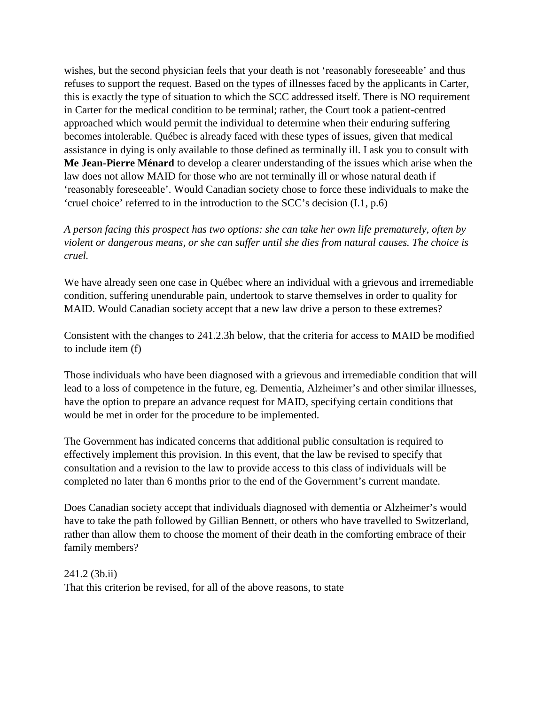wishes, but the second physician feels that your death is not 'reasonably foreseeable' and thus refuses to support the request. Based on the types of illnesses faced by the applicants in Carter, this is exactly the type of situation to which the SCC addressed itself. There is NO requirement in Carter for the medical condition to be terminal; rather, the Court took a patient-centred approached which would permit the individual to determine when their enduring suffering becomes intolerable. Québec is already faced with these types of issues, given that medical assistance in dying is only available to those defined as terminally ill. I ask you to consult with **Me Jean-Pierre Ménard** to develop a clearer understanding of the issues which arise when the law does not allow MAID for those who are not terminally ill or whose natural death if 'reasonably foreseeable'. Would Canadian society chose to force these individuals to make the 'cruel choice' referred to in the introduction to the SCC's decision (I.1, p.6)

*A person facing this prospect has two options: she can take her own life prematurely, often by violent or dangerous means, or she can suffer until she dies from natural causes. The choice is cruel.*

We have already seen one case in Québec where an individual with a grievous and irremediable condition, suffering unendurable pain, undertook to starve themselves in order to quality for MAID. Would Canadian society accept that a new law drive a person to these extremes?

Consistent with the changes to 241.2.3h below, that the criteria for access to MAID be modified to include item (f)

Those individuals who have been diagnosed with a grievous and irremediable condition that will lead to a loss of competence in the future, eg. Dementia, Alzheimer's and other similar illnesses, have the option to prepare an advance request for MAID, specifying certain conditions that would be met in order for the procedure to be implemented.

The Government has indicated concerns that additional public consultation is required to effectively implement this provision. In this event, that the law be revised to specify that consultation and a revision to the law to provide access to this class of individuals will be completed no later than 6 months prior to the end of the Government's current mandate.

Does Canadian society accept that individuals diagnosed with dementia or Alzheimer's would have to take the path followed by Gillian Bennett, or others who have travelled to Switzerland, rather than allow them to choose the moment of their death in the comforting embrace of their family members?

241.2 (3b.ii)

That this criterion be revised, for all of the above reasons, to state